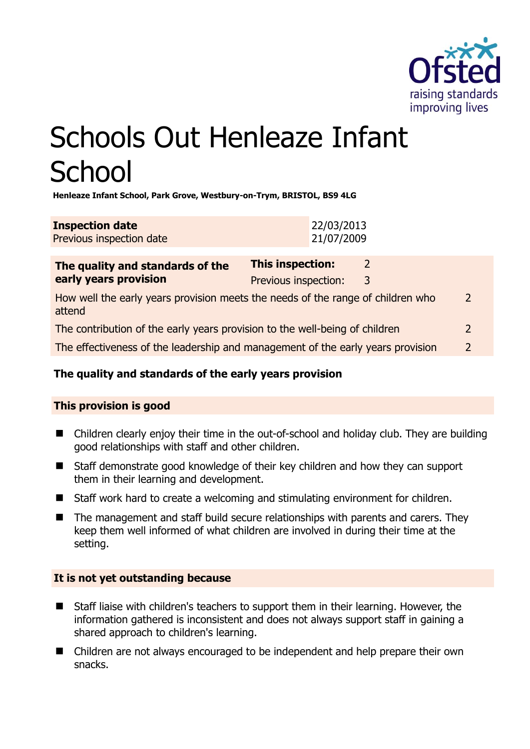

# Schools Out Henleaze Infant **School**

**Henleaze Infant School, Park Grove, Westbury-on-Trym, BRISTOL, BS9 4LG** 

| <b>Inspection date</b>   | 22/03/2013 |
|--------------------------|------------|
| Previous inspection date | 21/07/2009 |

| The quality and standards of the<br>early years provision                                 | <b>This inspection:</b> | $\mathcal{P}$ |               |
|-------------------------------------------------------------------------------------------|-------------------------|---------------|---------------|
|                                                                                           | Previous inspection:    | 3             |               |
| How well the early years provision meets the needs of the range of children who<br>attend |                         |               | $\mathcal{P}$ |
| The contribution of the early years provision to the well-being of children               |                         |               | $\mathcal{L}$ |
| The effectiveness of the leadership and management of the early years provision           |                         |               | 2             |
|                                                                                           |                         |               |               |

# **The quality and standards of the early years provision**

# **This provision is good**

- Children clearly enjoy their time in the out-of-school and holiday club. They are building good relationships with staff and other children.
- Staff demonstrate good knowledge of their key children and how they can support them in their learning and development.
- Staff work hard to create a welcoming and stimulating environment for children.
- The management and staff build secure relationships with parents and carers. They keep them well informed of what children are involved in during their time at the setting.

# **It is not yet outstanding because**

- Staff liaise with children's teachers to support them in their learning. However, the information gathered is inconsistent and does not always support staff in gaining a shared approach to children's learning.
- Children are not always encouraged to be independent and help prepare their own snacks.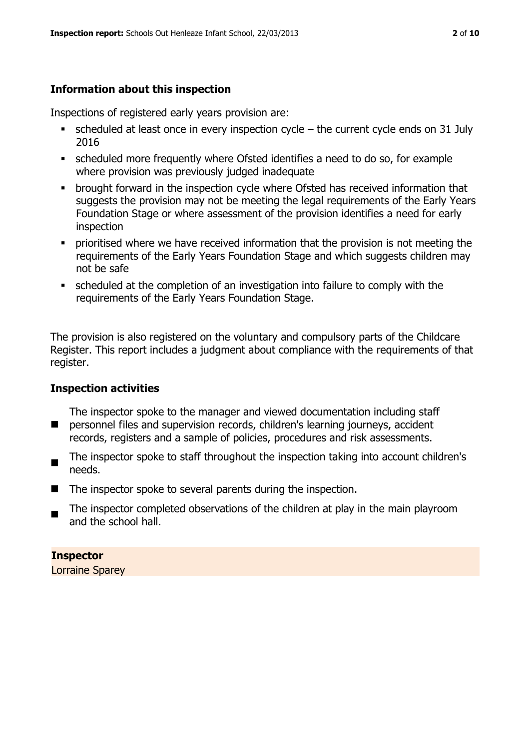# **Information about this inspection**

Inspections of registered early years provision are:

- $\blacksquare$  scheduled at least once in every inspection cycle the current cycle ends on 31 July 2016
- scheduled more frequently where Ofsted identifies a need to do so, for example where provision was previously judged inadequate
- **•** brought forward in the inspection cycle where Ofsted has received information that suggests the provision may not be meeting the legal requirements of the Early Years Foundation Stage or where assessment of the provision identifies a need for early inspection
- **•** prioritised where we have received information that the provision is not meeting the requirements of the Early Years Foundation Stage and which suggests children may not be safe
- scheduled at the completion of an investigation into failure to comply with the requirements of the Early Years Foundation Stage.

The provision is also registered on the voluntary and compulsory parts of the Childcare Register. This report includes a judgment about compliance with the requirements of that register.

# **Inspection activities**

 $\blacksquare$ The inspector spoke to the manager and viewed documentation including staff personnel files and supervision records, children's learning journeys, accident records, registers and a sample of policies, procedures and risk assessments.

- $\blacksquare$ The inspector spoke to staff throughout the inspection taking into account children's needs.
- $\blacksquare$  The inspector spoke to several parents during the inspection.
- The inspector completed observations of the children at play in the main playroom and the school hall.

# **Inspector**

Lorraine Sparey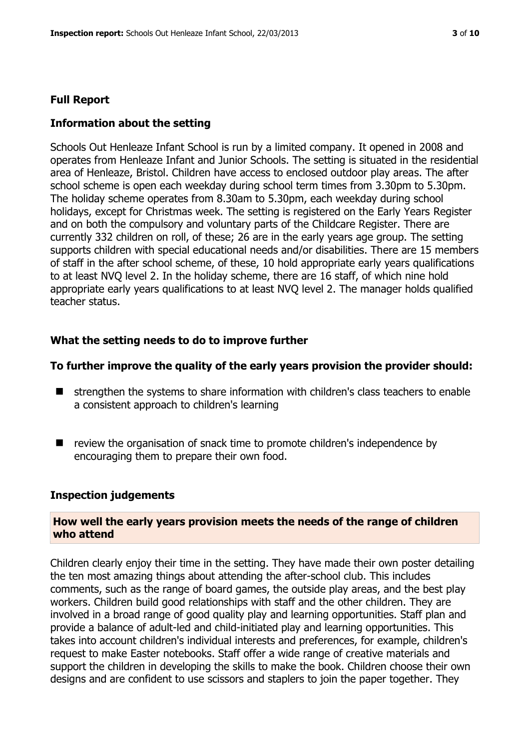### **Full Report**

### **Information about the setting**

Schools Out Henleaze Infant School is run by a limited company. It opened in 2008 and operates from Henleaze Infant and Junior Schools. The setting is situated in the residential area of Henleaze, Bristol. Children have access to enclosed outdoor play areas. The after school scheme is open each weekday during school term times from 3.30pm to 5.30pm. The holiday scheme operates from 8.30am to 5.30pm, each weekday during school holidays, except for Christmas week. The setting is registered on the Early Years Register and on both the compulsory and voluntary parts of the Childcare Register. There are currently 332 children on roll, of these; 26 are in the early years age group. The setting supports children with special educational needs and/or disabilities. There are 15 members of staff in the after school scheme, of these, 10 hold appropriate early years qualifications to at least NVQ level 2. In the holiday scheme, there are 16 staff, of which nine hold appropriate early years qualifications to at least NVQ level 2. The manager holds qualified teacher status.

### **What the setting needs to do to improve further**

#### **To further improve the quality of the early years provision the provider should:**

- $\blacksquare$  strengthen the systems to share information with children's class teachers to enable a consistent approach to children's learning
- review the organisation of snack time to promote children's independence by encouraging them to prepare their own food.

#### **Inspection judgements**

#### **How well the early years provision meets the needs of the range of children who attend**

Children clearly enjoy their time in the setting. They have made their own poster detailing the ten most amazing things about attending the after-school club. This includes comments, such as the range of board games, the outside play areas, and the best play workers. Children build good relationships with staff and the other children. They are involved in a broad range of good quality play and learning opportunities. Staff plan and provide a balance of adult-led and child-initiated play and learning opportunities. This takes into account children's individual interests and preferences, for example, children's request to make Easter notebooks. Staff offer a wide range of creative materials and support the children in developing the skills to make the book. Children choose their own designs and are confident to use scissors and staplers to join the paper together. They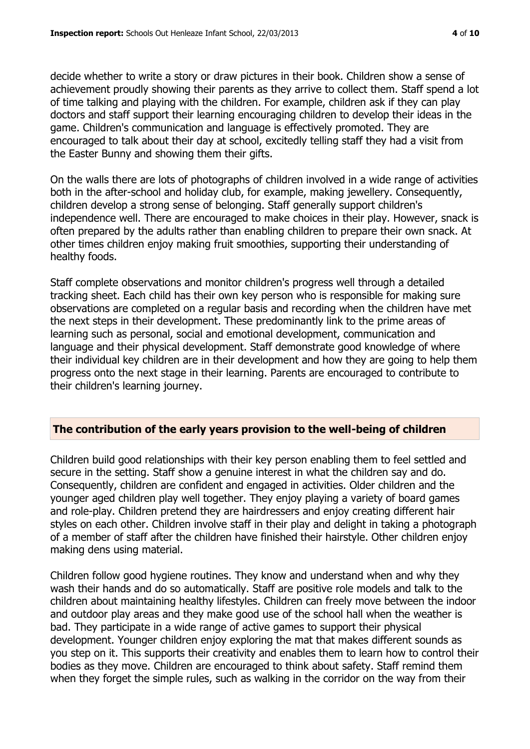decide whether to write a story or draw pictures in their book. Children show a sense of achievement proudly showing their parents as they arrive to collect them. Staff spend a lot of time talking and playing with the children. For example, children ask if they can play doctors and staff support their learning encouraging children to develop their ideas in the game. Children's communication and language is effectively promoted. They are encouraged to talk about their day at school, excitedly telling staff they had a visit from the Easter Bunny and showing them their gifts.

On the walls there are lots of photographs of children involved in a wide range of activities both in the after-school and holiday club, for example, making jewellery. Consequently, children develop a strong sense of belonging. Staff generally support children's independence well. There are encouraged to make choices in their play. However, snack is often prepared by the adults rather than enabling children to prepare their own snack. At other times children enjoy making fruit smoothies, supporting their understanding of healthy foods.

Staff complete observations and monitor children's progress well through a detailed tracking sheet. Each child has their own key person who is responsible for making sure observations are completed on a regular basis and recording when the children have met the next steps in their development. These predominantly link to the prime areas of learning such as personal, social and emotional development, communication and language and their physical development. Staff demonstrate good knowledge of where their individual key children are in their development and how they are going to help them progress onto the next stage in their learning. Parents are encouraged to contribute to their children's learning journey.

#### **The contribution of the early years provision to the well-being of children**

Children build good relationships with their key person enabling them to feel settled and secure in the setting. Staff show a genuine interest in what the children say and do. Consequently, children are confident and engaged in activities. Older children and the younger aged children play well together. They enjoy playing a variety of board games and role-play. Children pretend they are hairdressers and enjoy creating different hair styles on each other. Children involve staff in their play and delight in taking a photograph of a member of staff after the children have finished their hairstyle. Other children enjoy making dens using material.

Children follow good hygiene routines. They know and understand when and why they wash their hands and do so automatically. Staff are positive role models and talk to the children about maintaining healthy lifestyles. Children can freely move between the indoor and outdoor play areas and they make good use of the school hall when the weather is bad. They participate in a wide range of active games to support their physical development. Younger children enjoy exploring the mat that makes different sounds as you step on it. This supports their creativity and enables them to learn how to control their bodies as they move. Children are encouraged to think about safety. Staff remind them when they forget the simple rules, such as walking in the corridor on the way from their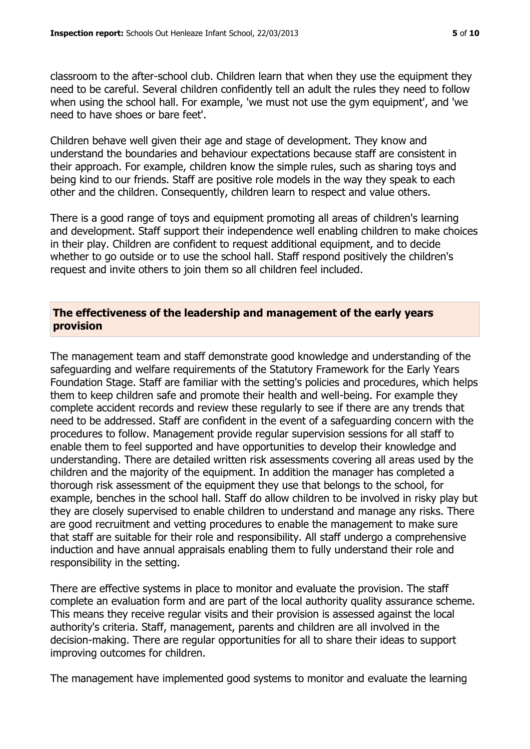classroom to the after-school club. Children learn that when they use the equipment they need to be careful. Several children confidently tell an adult the rules they need to follow when using the school hall. For example, 'we must not use the gym equipment', and 'we need to have shoes or bare feet'.

Children behave well given their age and stage of development. They know and understand the boundaries and behaviour expectations because staff are consistent in their approach. For example, children know the simple rules, such as sharing toys and being kind to our friends. Staff are positive role models in the way they speak to each other and the children. Consequently, children learn to respect and value others.

There is a good range of toys and equipment promoting all areas of children's learning and development. Staff support their independence well enabling children to make choices in their play. Children are confident to request additional equipment, and to decide whether to go outside or to use the school hall. Staff respond positively the children's request and invite others to join them so all children feel included.

#### **The effectiveness of the leadership and management of the early years provision**

The management team and staff demonstrate good knowledge and understanding of the safeguarding and welfare requirements of the Statutory Framework for the Early Years Foundation Stage. Staff are familiar with the setting's policies and procedures, which helps them to keep children safe and promote their health and well-being. For example they complete accident records and review these regularly to see if there are any trends that need to be addressed. Staff are confident in the event of a safeguarding concern with the procedures to follow. Management provide regular supervision sessions for all staff to enable them to feel supported and have opportunities to develop their knowledge and understanding. There are detailed written risk assessments covering all areas used by the children and the majority of the equipment. In addition the manager has completed a thorough risk assessment of the equipment they use that belongs to the school, for example, benches in the school hall. Staff do allow children to be involved in risky play but they are closely supervised to enable children to understand and manage any risks. There are good recruitment and vetting procedures to enable the management to make sure that staff are suitable for their role and responsibility. All staff undergo a comprehensive induction and have annual appraisals enabling them to fully understand their role and responsibility in the setting.

There are effective systems in place to monitor and evaluate the provision. The staff complete an evaluation form and are part of the local authority quality assurance scheme. This means they receive regular visits and their provision is assessed against the local authority's criteria. Staff, management, parents and children are all involved in the decision-making. There are regular opportunities for all to share their ideas to support improving outcomes for children.

The management have implemented good systems to monitor and evaluate the learning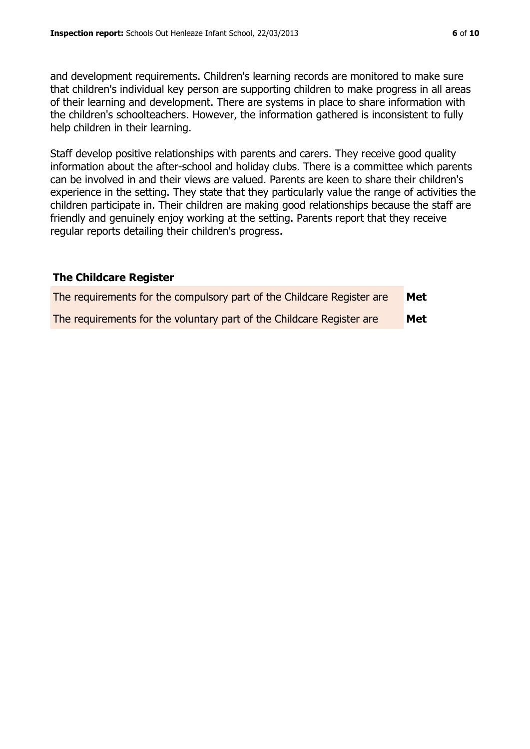and development requirements. Children's learning records are monitored to make sure that children's individual key person are supporting children to make progress in all areas of their learning and development. There are systems in place to share information with the children's schoolteachers. However, the information gathered is inconsistent to fully help children in their learning.

Staff develop positive relationships with parents and carers. They receive good quality information about the after-school and holiday clubs. There is a committee which parents can be involved in and their views are valued. Parents are keen to share their children's experience in the setting. They state that they particularly value the range of activities the children participate in. Their children are making good relationships because the staff are friendly and genuinely enjoy working at the setting. Parents report that they receive regular reports detailing their children's progress.

#### **The Childcare Register**

| The requirements for the compulsory part of the Childcare Register are | Met        |
|------------------------------------------------------------------------|------------|
| The requirements for the voluntary part of the Childcare Register are  | <b>Met</b> |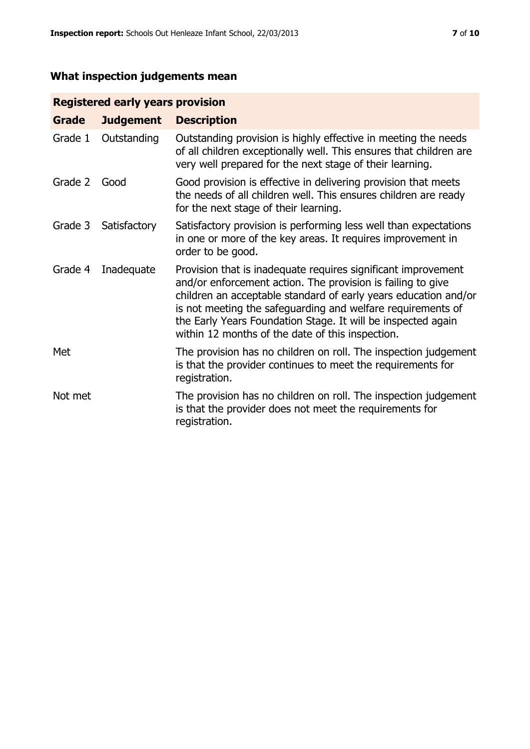# **What inspection judgements mean**

# **Registered early years provision**

| Grade   | <b>Judgement</b> | <b>Description</b>                                                                                                                                                                                                                                                                                                                                                                 |
|---------|------------------|------------------------------------------------------------------------------------------------------------------------------------------------------------------------------------------------------------------------------------------------------------------------------------------------------------------------------------------------------------------------------------|
| Grade 1 | Outstanding      | Outstanding provision is highly effective in meeting the needs<br>of all children exceptionally well. This ensures that children are<br>very well prepared for the next stage of their learning.                                                                                                                                                                                   |
| Grade 2 | Good             | Good provision is effective in delivering provision that meets<br>the needs of all children well. This ensures children are ready<br>for the next stage of their learning.                                                                                                                                                                                                         |
| Grade 3 | Satisfactory     | Satisfactory provision is performing less well than expectations<br>in one or more of the key areas. It requires improvement in<br>order to be good.                                                                                                                                                                                                                               |
| Grade 4 | Inadequate       | Provision that is inadequate requires significant improvement<br>and/or enforcement action. The provision is failing to give<br>children an acceptable standard of early years education and/or<br>is not meeting the safeguarding and welfare requirements of<br>the Early Years Foundation Stage. It will be inspected again<br>within 12 months of the date of this inspection. |
| Met     |                  | The provision has no children on roll. The inspection judgement<br>is that the provider continues to meet the requirements for<br>registration.                                                                                                                                                                                                                                    |
| Not met |                  | The provision has no children on roll. The inspection judgement<br>is that the provider does not meet the requirements for<br>registration.                                                                                                                                                                                                                                        |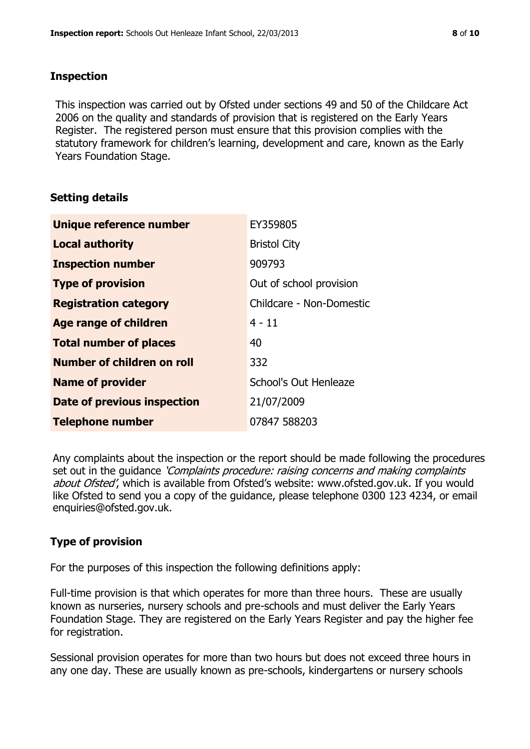### **Inspection**

This inspection was carried out by Ofsted under sections 49 and 50 of the Childcare Act 2006 on the quality and standards of provision that is registered on the Early Years Register. The registered person must ensure that this provision complies with the statutory framework for children's learning, development and care, known as the Early Years Foundation Stage.

# **Setting details**

| Unique reference number       | EY359805                 |
|-------------------------------|--------------------------|
| <b>Local authority</b>        | <b>Bristol City</b>      |
| <b>Inspection number</b>      | 909793                   |
| <b>Type of provision</b>      | Out of school provision  |
| <b>Registration category</b>  | Childcare - Non-Domestic |
| <b>Age range of children</b>  | $4 - 11$                 |
| <b>Total number of places</b> | 40                       |
| Number of children on roll    | 332                      |
| <b>Name of provider</b>       | School's Out Henleaze    |
| Date of previous inspection   | 21/07/2009               |
| <b>Telephone number</b>       | 07847 588203             |

Any complaints about the inspection or the report should be made following the procedures set out in the guidance *'Complaints procedure: raising concerns and making complaints* about Ofsted', which is available from Ofsted's website: www.ofsted.gov.uk. If you would like Ofsted to send you a copy of the guidance, please telephone 0300 123 4234, or email enquiries@ofsted.gov.uk.

# **Type of provision**

For the purposes of this inspection the following definitions apply:

Full-time provision is that which operates for more than three hours. These are usually known as nurseries, nursery schools and pre-schools and must deliver the Early Years Foundation Stage. They are registered on the Early Years Register and pay the higher fee for registration.

Sessional provision operates for more than two hours but does not exceed three hours in any one day. These are usually known as pre-schools, kindergartens or nursery schools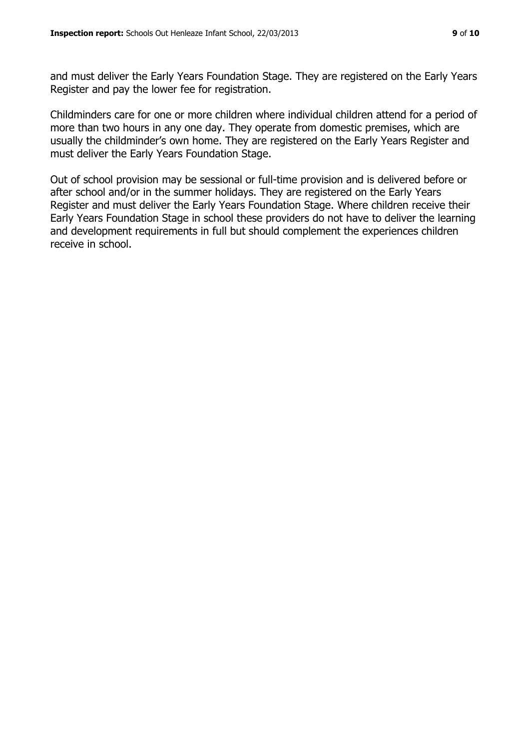and must deliver the Early Years Foundation Stage. They are registered on the Early Years Register and pay the lower fee for registration.

Childminders care for one or more children where individual children attend for a period of more than two hours in any one day. They operate from domestic premises, which are usually the childminder's own home. They are registered on the Early Years Register and must deliver the Early Years Foundation Stage.

Out of school provision may be sessional or full-time provision and is delivered before or after school and/or in the summer holidays. They are registered on the Early Years Register and must deliver the Early Years Foundation Stage. Where children receive their Early Years Foundation Stage in school these providers do not have to deliver the learning and development requirements in full but should complement the experiences children receive in school.